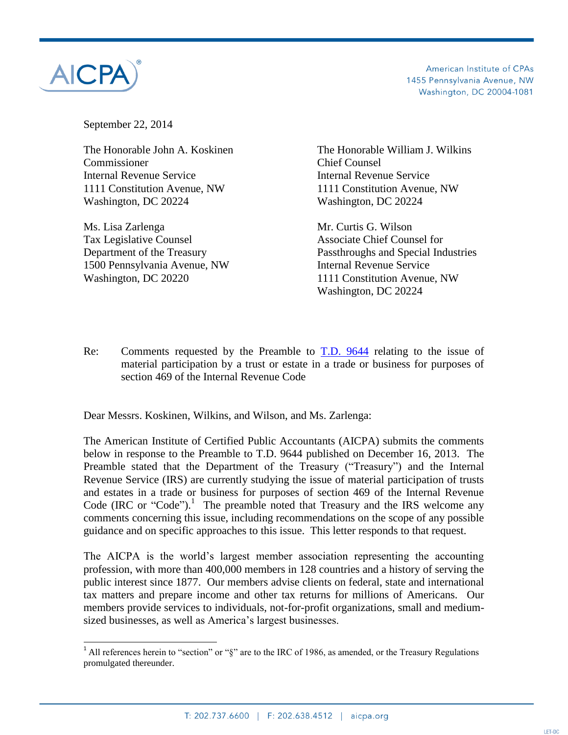

 $\overline{a}$ 

American Institute of CPAs 1455 Pennsylvania Avenue, NW Washington, DC 20004-1081

September 22, 2014

The Honorable John A. Koskinen The Honorable William J. Wilkins Commissioner Chief Counsel Internal Revenue Service Internal Revenue Service 1111 Constitution Avenue, NW 1111 Constitution Avenue, NW Washington, DC 20224 Washington, DC 20224

Ms. Lisa Zarlenga Mr. Curtis G. Wilson Tax Legislative Counsel **Associate Chief Counsel for** 1500 Pennsylvania Avenue, NW Internal Revenue Service Washington, DC 20220 1111 Constitution Avenue, NW

Department of the Treasury Passthroughs and Special Industries Washington, DC 20224

Re: Comments requested by the Preamble to [T.D. 9644](http://www.irs.gov/irb/2013-51_IRB/ar09.html) relating to the issue of material participation by a trust or estate in a trade or business for purposes of section 469 of the Internal Revenue Code

Dear Messrs. Koskinen, Wilkins, and Wilson, and Ms. Zarlenga:

The American Institute of Certified Public Accountants (AICPA) submits the comments below in response to the Preamble to T.D. 9644 published on December 16, 2013. The Preamble stated that the Department of the Treasury ("Treasury") and the Internal Revenue Service (IRS) are currently studying the issue of material participation of trusts and estates in a trade or business for purposes of section 469 of the Internal Revenue Code (IRC or "Code").<sup>1</sup> The preamble noted that Treasury and the IRS welcome any comments concerning this issue, including recommendations on the scope of any possible guidance and on specific approaches to this issue. This letter responds to that request.

The AICPA is the world's largest member association representing the accounting profession, with more than 400,000 members in 128 countries and a history of serving the public interest since 1877. Our members advise clients on federal, state and international tax matters and prepare income and other tax returns for millions of Americans. Our members provide services to individuals, not-for-profit organizations, small and mediumsized businesses, as well as America's largest businesses.

<sup>&</sup>lt;sup>1</sup> All references herein to "section" or " $\S$ " are to the IRC of 1986, as amended, or the Treasury Regulations promulgated thereunder.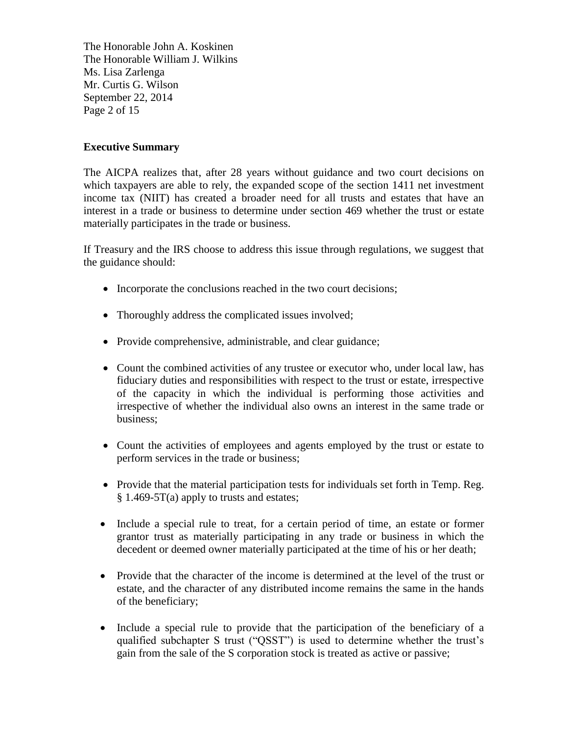The Honorable John A. Koskinen The Honorable William J. Wilkins Ms. Lisa Zarlenga Mr. Curtis G. Wilson September 22, 2014 Page 2 of 15

# **Executive Summary**

The AICPA realizes that, after 28 years without guidance and two court decisions on which taxpayers are able to rely, the expanded scope of the section 1411 net investment income tax (NIIT) has created a broader need for all trusts and estates that have an interest in a trade or business to determine under section 469 whether the trust or estate materially participates in the trade or business.

If Treasury and the IRS choose to address this issue through regulations, we suggest that the guidance should:

- Incorporate the conclusions reached in the two court decisions;
- Thoroughly address the complicated issues involved;
- Provide comprehensive, administrable, and clear guidance;
- Count the combined activities of any trustee or executor who, under local law, has fiduciary duties and responsibilities with respect to the trust or estate, irrespective of the capacity in which the individual is performing those activities and irrespective of whether the individual also owns an interest in the same trade or business;
- Count the activities of employees and agents employed by the trust or estate to perform services in the trade or business;
- Provide that the material participation tests for individuals set forth in Temp. Reg. § 1.469-5T(a) apply to trusts and estates;
- Include a special rule to treat, for a certain period of time, an estate or former grantor trust as materially participating in any trade or business in which the decedent or deemed owner materially participated at the time of his or her death;
- Provide that the character of the income is determined at the level of the trust or estate, and the character of any distributed income remains the same in the hands of the beneficiary;
- Include a special rule to provide that the participation of the beneficiary of a qualified subchapter S trust ("QSST") is used to determine whether the trust's gain from the sale of the S corporation stock is treated as active or passive;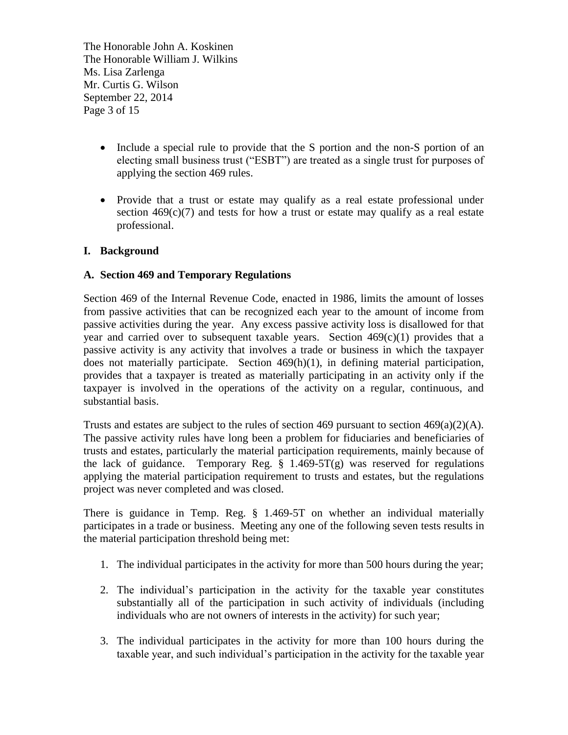The Honorable John A. Koskinen The Honorable William J. Wilkins Ms. Lisa Zarlenga Mr. Curtis G. Wilson September 22, 2014 Page 3 of 15

- Include a special rule to provide that the S portion and the non-S portion of an electing small business trust ("ESBT") are treated as a single trust for purposes of applying the section 469 rules.
- Provide that a trust or estate may qualify as a real estate professional under section  $469(c)(7)$  and tests for how a trust or estate may qualify as a real estate professional.

# **I. Background**

## **A. Section 469 and Temporary Regulations**

Section 469 of the Internal Revenue Code, enacted in 1986, limits the amount of losses from passive activities that can be recognized each year to the amount of income from passive activities during the year. Any excess passive activity loss is disallowed for that year and carried over to subsequent taxable years. Section  $469(c)(1)$  provides that a passive activity is any activity that involves a trade or business in which the taxpayer does not materially participate. Section 469(h)(1), in defining material participation, provides that a taxpayer is treated as materially participating in an activity only if the taxpayer is involved in the operations of the activity on a regular, continuous, and substantial basis.

Trusts and estates are subject to the rules of section 469 pursuant to section  $469(a)(2)(A)$ . The passive activity rules have long been a problem for fiduciaries and beneficiaries of trusts and estates, particularly the material participation requirements, mainly because of the lack of guidance. Temporary Reg.  $\S$  1.469-5T(g) was reserved for regulations applying the material participation requirement to trusts and estates, but the regulations project was never completed and was closed.

There is guidance in Temp. Reg. § 1.469-5T on whether an individual materially participates in a trade or business. Meeting any one of the following seven tests results in the material participation threshold being met:

- 1. The individual participates in the activity for more than 500 hours during the year;
- 2. The individual's participation in the activity for the taxable year constitutes substantially all of the participation in such activity of individuals (including individuals who are not owners of interests in the activity) for such year;
- 3. The individual participates in the activity for more than 100 hours during the taxable year, and such individual's participation in the activity for the taxable year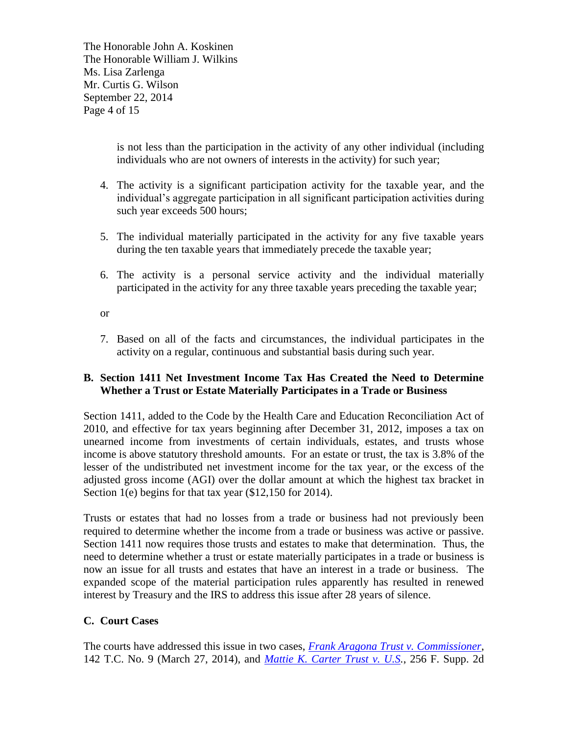The Honorable John A. Koskinen The Honorable William J. Wilkins Ms. Lisa Zarlenga Mr. Curtis G. Wilson September 22, 2014 Page 4 of 15

> is not less than the participation in the activity of any other individual (including individuals who are not owners of interests in the activity) for such year;

- 4. The activity is a significant participation activity for the taxable year, and the individual's aggregate participation in all significant participation activities during such year exceeds 500 hours;
- 5. The individual materially participated in the activity for any five taxable years during the ten taxable years that immediately precede the taxable year;
- 6. The activity is a personal service activity and the individual materially participated in the activity for any three taxable years preceding the taxable year;

or

7. Based on all of the facts and circumstances, the individual participates in the activity on a regular, continuous and substantial basis during such year.

# **B. Section 1411 Net Investment Income Tax Has Created the Need to Determine Whether a Trust or Estate Materially Participates in a Trade or Business**

Section 1411, added to the Code by the Health Care and Education Reconciliation Act of 2010, and effective for tax years beginning after December 31, 2012, imposes a tax on unearned income from investments of certain individuals, estates, and trusts whose income is above statutory threshold amounts. For an estate or trust, the tax is 3.8% of the lesser of the undistributed net investment income for the tax year, or the excess of the adjusted gross income (AGI) over the dollar amount at which the highest tax bracket in Section 1(e) begins for that tax year (\$12,150 for 2014).

Trusts or estates that had no losses from a trade or business had not previously been required to determine whether the income from a trade or business was active or passive. Section 1411 now requires those trusts and estates to make that determination. Thus, the need to determine whether a trust or estate materially participates in a trade or business is now an issue for all trusts and estates that have an interest in a trade or business. The expanded scope of the material participation rules apparently has resulted in renewed interest by Treasury and the IRS to address this issue after 28 years of silence.

# **C. Court Cases**

The courts have addressed this issue in two cases, *[Frank Aragona Trust v. Commissioner](http://www.ustaxcourt.gov/InOpHistoric/frankaragonatrustdiv.morrison.TC.WPD.pdf)*, 142 T.C. No. 9 (March 27, 2014), and *[Mattie K. Carter Trust v. U.S.](http://www.leagle.com/decision/2003792256FSupp2d536_1730)*, 256 F. Supp. 2d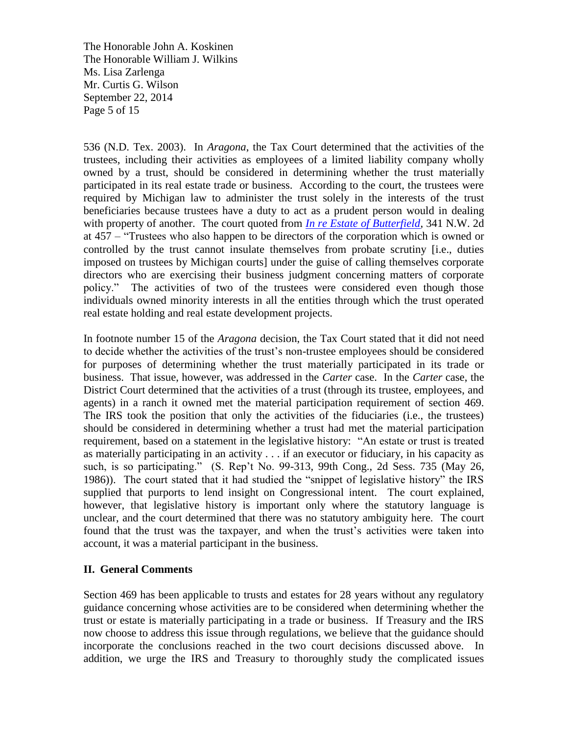The Honorable John A. Koskinen The Honorable William J. Wilkins Ms. Lisa Zarlenga Mr. Curtis G. Wilson September 22, 2014 Page 5 of 15

536 (N.D. Tex. 2003). In *Aragona*, the Tax Court determined that the activities of the trustees, including their activities as employees of a limited liability company wholly owned by a trust, should be considered in determining whether the trust materially participated in its real estate trade or business. According to the court, the trustees were required by Michigan law to administer the trust solely in the interests of the trust beneficiaries because trustees have a duty to act as a prudent person would in dealing with property of another. The court quoted from *[In re Estate of Butterfield](http://www.leagle.com/decision/1983659418Mich241_1649.xml/IN%20RE%20BUTTERFIELD%20ESTATE)*, 341 N.W. 2d at 457 – "Trustees who also happen to be directors of the corporation which is owned or controlled by the trust cannot insulate themselves from probate scrutiny [i.e., duties imposed on trustees by Michigan courts] under the guise of calling themselves corporate directors who are exercising their business judgment concerning matters of corporate policy." The activities of two of the trustees were considered even though those individuals owned minority interests in all the entities through which the trust operated real estate holding and real estate development projects.

In footnote number 15 of the *Aragona* decision, the Tax Court stated that it did not need to decide whether the activities of the trust's non-trustee employees should be considered for purposes of determining whether the trust materially participated in its trade or business. That issue, however, was addressed in the *Carter* case. In the *Carter* case, the District Court determined that the activities of a trust (through its trustee, employees, and agents) in a ranch it owned met the material participation requirement of section 469. The IRS took the position that only the activities of the fiduciaries (i.e., the trustees) should be considered in determining whether a trust had met the material participation requirement, based on a statement in the legislative history: "An estate or trust is treated as materially participating in an activity . . . if an executor or fiduciary, in his capacity as such, is so participating." (S. Rep't No. 99-313, 99th Cong., 2d Sess. 735 (May 26, 1986)). The court stated that it had studied the "snippet of legislative history" the IRS supplied that purports to lend insight on Congressional intent. The court explained, however, that legislative history is important only where the statutory language is unclear, and the court determined that there was no statutory ambiguity here. The court found that the trust was the taxpayer, and when the trust's activities were taken into account, it was a material participant in the business.

## **II. General Comments**

Section 469 has been applicable to trusts and estates for 28 years without any regulatory guidance concerning whose activities are to be considered when determining whether the trust or estate is materially participating in a trade or business. If Treasury and the IRS now choose to address this issue through regulations, we believe that the guidance should incorporate the conclusions reached in the two court decisions discussed above. In addition, we urge the IRS and Treasury to thoroughly study the complicated issues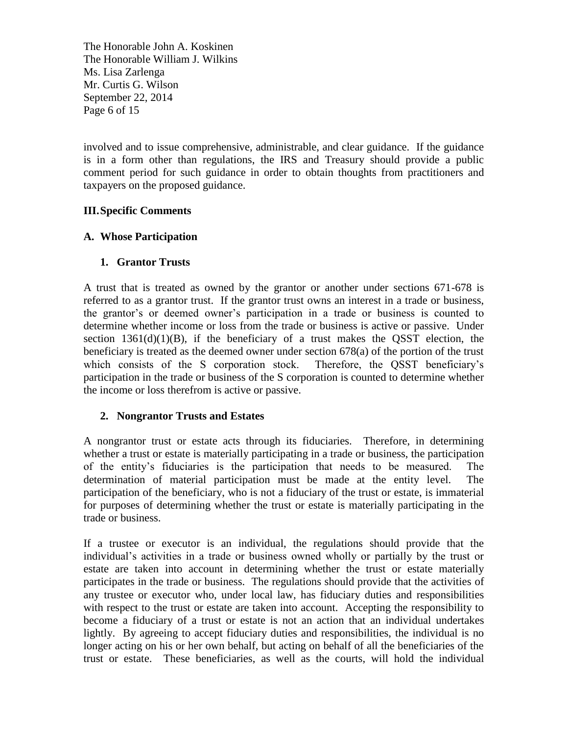The Honorable John A. Koskinen The Honorable William J. Wilkins Ms. Lisa Zarlenga Mr. Curtis G. Wilson September 22, 2014 Page 6 of 15

involved and to issue comprehensive, administrable, and clear guidance. If the guidance is in a form other than regulations, the IRS and Treasury should provide a public comment period for such guidance in order to obtain thoughts from practitioners and taxpayers on the proposed guidance.

# **III.Specific Comments**

# **A. Whose Participation**

# **1. Grantor Trusts**

A trust that is treated as owned by the grantor or another under sections 671-678 is referred to as a grantor trust. If the grantor trust owns an interest in a trade or business, the grantor's or deemed owner's participation in a trade or business is counted to determine whether income or loss from the trade or business is active or passive. Under section  $1361(d)(1)(B)$ , if the beneficiary of a trust makes the QSST election, the beneficiary is treated as the deemed owner under section 678(a) of the portion of the trust which consists of the S corporation stock. Therefore, the QSST beneficiary's participation in the trade or business of the S corporation is counted to determine whether the income or loss therefrom is active or passive.

# **2. Nongrantor Trusts and Estates**

A nongrantor trust or estate acts through its fiduciaries. Therefore, in determining whether a trust or estate is materially participating in a trade or business, the participation of the entity's fiduciaries is the participation that needs to be measured. The determination of material participation must be made at the entity level. The participation of the beneficiary, who is not a fiduciary of the trust or estate, is immaterial for purposes of determining whether the trust or estate is materially participating in the trade or business.

If a trustee or executor is an individual, the regulations should provide that the individual's activities in a trade or business owned wholly or partially by the trust or estate are taken into account in determining whether the trust or estate materially participates in the trade or business. The regulations should provide that the activities of any trustee or executor who, under local law, has fiduciary duties and responsibilities with respect to the trust or estate are taken into account. Accepting the responsibility to become a fiduciary of a trust or estate is not an action that an individual undertakes lightly. By agreeing to accept fiduciary duties and responsibilities, the individual is no longer acting on his or her own behalf, but acting on behalf of all the beneficiaries of the trust or estate. These beneficiaries, as well as the courts, will hold the individual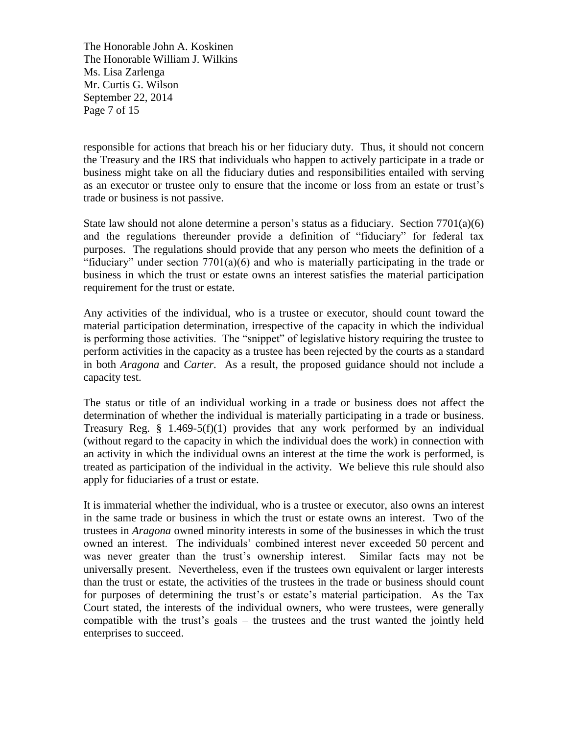The Honorable John A. Koskinen The Honorable William J. Wilkins Ms. Lisa Zarlenga Mr. Curtis G. Wilson September 22, 2014 Page 7 of 15

responsible for actions that breach his or her fiduciary duty. Thus, it should not concern the Treasury and the IRS that individuals who happen to actively participate in a trade or business might take on all the fiduciary duties and responsibilities entailed with serving as an executor or trustee only to ensure that the income or loss from an estate or trust's trade or business is not passive.

State law should not alone determine a person's status as a fiduciary. Section  $7701(a)(6)$ and the regulations thereunder provide a definition of "fiduciary" for federal tax purposes. The regulations should provide that any person who meets the definition of a "fiduciary" under section  $7701(a)(6)$  and who is materially participating in the trade or business in which the trust or estate owns an interest satisfies the material participation requirement for the trust or estate.

Any activities of the individual, who is a trustee or executor, should count toward the material participation determination, irrespective of the capacity in which the individual is performing those activities. The "snippet" of legislative history requiring the trustee to perform activities in the capacity as a trustee has been rejected by the courts as a standard in both *Aragona* and *Carter*. As a result, the proposed guidance should not include a capacity test.

The status or title of an individual working in a trade or business does not affect the determination of whether the individual is materially participating in a trade or business. Treasury Reg.  $\S$  1.469-5(f)(1) provides that any work performed by an individual (without regard to the capacity in which the individual does the work) in connection with an activity in which the individual owns an interest at the time the work is performed, is treated as participation of the individual in the activity. We believe this rule should also apply for fiduciaries of a trust or estate.

It is immaterial whether the individual, who is a trustee or executor, also owns an interest in the same trade or business in which the trust or estate owns an interest. Two of the trustees in *Aragona* owned minority interests in some of the businesses in which the trust owned an interest. The individuals' combined interest never exceeded 50 percent and was never greater than the trust's ownership interest. Similar facts may not be universally present. Nevertheless, even if the trustees own equivalent or larger interests than the trust or estate, the activities of the trustees in the trade or business should count for purposes of determining the trust's or estate's material participation. As the Tax Court stated, the interests of the individual owners, who were trustees, were generally compatible with the trust's goals – the trustees and the trust wanted the jointly held enterprises to succeed.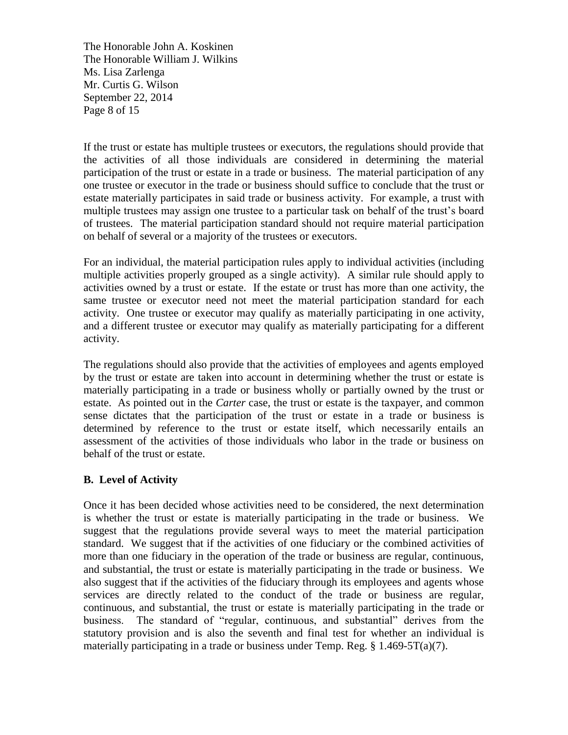The Honorable John A. Koskinen The Honorable William J. Wilkins Ms. Lisa Zarlenga Mr. Curtis G. Wilson September 22, 2014 Page 8 of 15

If the trust or estate has multiple trustees or executors, the regulations should provide that the activities of all those individuals are considered in determining the material participation of the trust or estate in a trade or business. The material participation of any one trustee or executor in the trade or business should suffice to conclude that the trust or estate materially participates in said trade or business activity. For example, a trust with multiple trustees may assign one trustee to a particular task on behalf of the trust's board of trustees. The material participation standard should not require material participation on behalf of several or a majority of the trustees or executors.

For an individual, the material participation rules apply to individual activities (including multiple activities properly grouped as a single activity). A similar rule should apply to activities owned by a trust or estate. If the estate or trust has more than one activity, the same trustee or executor need not meet the material participation standard for each activity. One trustee or executor may qualify as materially participating in one activity, and a different trustee or executor may qualify as materially participating for a different activity.

The regulations should also provide that the activities of employees and agents employed by the trust or estate are taken into account in determining whether the trust or estate is materially participating in a trade or business wholly or partially owned by the trust or estate. As pointed out in the *Carter* case, the trust or estate is the taxpayer, and common sense dictates that the participation of the trust or estate in a trade or business is determined by reference to the trust or estate itself, which necessarily entails an assessment of the activities of those individuals who labor in the trade or business on behalf of the trust or estate.

# **B. Level of Activity**

Once it has been decided whose activities need to be considered, the next determination is whether the trust or estate is materially participating in the trade or business. We suggest that the regulations provide several ways to meet the material participation standard. We suggest that if the activities of one fiduciary or the combined activities of more than one fiduciary in the operation of the trade or business are regular, continuous, and substantial, the trust or estate is materially participating in the trade or business. We also suggest that if the activities of the fiduciary through its employees and agents whose services are directly related to the conduct of the trade or business are regular, continuous, and substantial, the trust or estate is materially participating in the trade or business. The standard of "regular, continuous, and substantial" derives from the statutory provision and is also the seventh and final test for whether an individual is materially participating in a trade or business under Temp. Reg.  $\S$  1.469-5T(a)(7).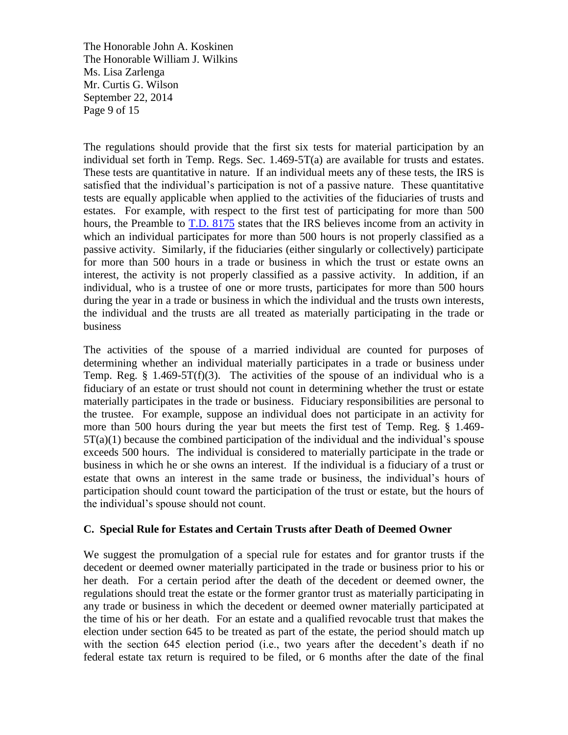The Honorable John A. Koskinen The Honorable William J. Wilkins Ms. Lisa Zarlenga Mr. Curtis G. Wilson September 22, 2014 Page 9 of 15

The regulations should provide that the first six tests for material participation by an individual set forth in Temp. Regs. Sec. 1.469-5T(a) are available for trusts and estates. These tests are quantitative in nature. If an individual meets any of these tests, the IRS is satisfied that the individual's participation is not of a passive nature. These quantitative tests are equally applicable when applied to the activities of the fiduciaries of trusts and estates. For example, with respect to the first test of participating for more than 500 hours, the Preamble to **T.D.** 8175 states that the IRS believes income from an activity in which an individual participates for more than 500 hours is not properly classified as a passive activity. Similarly, if the fiduciaries (either singularly or collectively) participate for more than 500 hours in a trade or business in which the trust or estate owns an interest, the activity is not properly classified as a passive activity. In addition, if an individual, who is a trustee of one or more trusts, participates for more than 500 hours during the year in a trade or business in which the individual and the trusts own interests, the individual and the trusts are all treated as materially participating in the trade or business

The activities of the spouse of a married individual are counted for purposes of determining whether an individual materially participates in a trade or business under Temp. Reg.  $\S$  1.469-5T(f)(3). The activities of the spouse of an individual who is a fiduciary of an estate or trust should not count in determining whether the trust or estate materially participates in the trade or business. Fiduciary responsibilities are personal to the trustee. For example, suppose an individual does not participate in an activity for more than 500 hours during the year but meets the first test of Temp. Reg. § 1.469-  $5T(a)(1)$  because the combined participation of the individual and the individual's spouse exceeds 500 hours. The individual is considered to materially participate in the trade or business in which he or she owns an interest. If the individual is a fiduciary of a trust or estate that owns an interest in the same trade or business, the individual's hours of participation should count toward the participation of the trust or estate, but the hours of the individual's spouse should not count.

## **C. Special Rule for Estates and Certain Trusts after Death of Deemed Owner**

We suggest the promulgation of a special rule for estates and for grantor trusts if the decedent or deemed owner materially participated in the trade or business prior to his or her death. For a certain period after the death of the decedent or deemed owner, the regulations should treat the estate or the former grantor trust as materially participating in any trade or business in which the decedent or deemed owner materially participated at the time of his or her death. For an estate and a qualified revocable trust that makes the election under section 645 to be treated as part of the estate, the period should match up with the section 645 election period (i.e., two years after the decedent's death if no federal estate tax return is required to be filed, or 6 months after the date of the final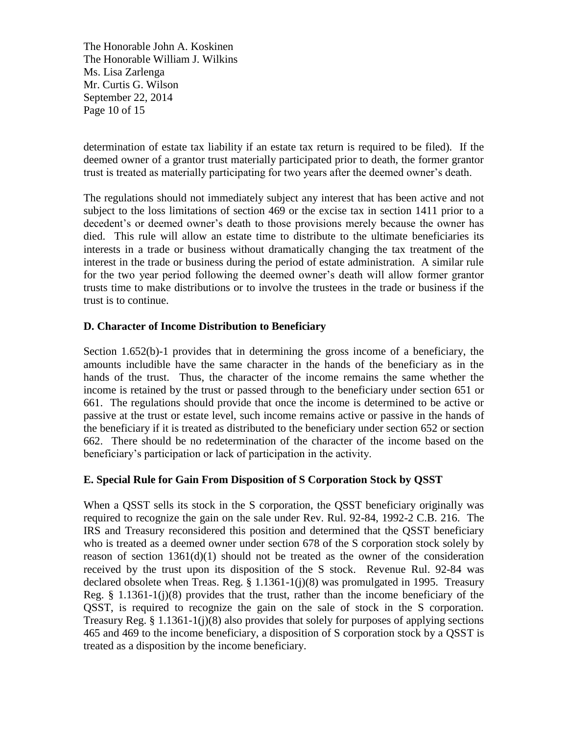The Honorable John A. Koskinen The Honorable William J. Wilkins Ms. Lisa Zarlenga Mr. Curtis G. Wilson September 22, 2014 Page 10 of 15

determination of estate tax liability if an estate tax return is required to be filed). If the deemed owner of a grantor trust materially participated prior to death, the former grantor trust is treated as materially participating for two years after the deemed owner's death.

The regulations should not immediately subject any interest that has been active and not subject to the loss limitations of section 469 or the excise tax in section 1411 prior to a decedent's or deemed owner's death to those provisions merely because the owner has died. This rule will allow an estate time to distribute to the ultimate beneficiaries its interests in a trade or business without dramatically changing the tax treatment of the interest in the trade or business during the period of estate administration. A similar rule for the two year period following the deemed owner's death will allow former grantor trusts time to make distributions or to involve the trustees in the trade or business if the trust is to continue.

# **D. Character of Income Distribution to Beneficiary**

Section 1.652(b)-1 provides that in determining the gross income of a beneficiary, the amounts includible have the same character in the hands of the beneficiary as in the hands of the trust. Thus, the character of the income remains the same whether the income is retained by the trust or passed through to the beneficiary under section 651 or 661. The regulations should provide that once the income is determined to be active or passive at the trust or estate level, such income remains active or passive in the hands of the beneficiary if it is treated as distributed to the beneficiary under section 652 or section 662. There should be no redetermination of the character of the income based on the beneficiary's participation or lack of participation in the activity.

## **E. Special Rule for Gain From Disposition of S Corporation Stock by QSST**

When a QSST sells its stock in the S corporation, the QSST beneficiary originally was required to recognize the gain on the sale under Rev. Rul. 92-84, 1992-2 C.B. 216. The IRS and Treasury reconsidered this position and determined that the QSST beneficiary who is treated as a deemed owner under section 678 of the S corporation stock solely by reason of section  $1361(d)(1)$  should not be treated as the owner of the consideration received by the trust upon its disposition of the S stock. Revenue Rul. 92-84 was declared obsolete when Treas. Reg. § 1.1361-1(j)(8) was promulgated in 1995. Treasury Reg.  $§$  1.1361-1(j)(8) provides that the trust, rather than the income beneficiary of the QSST, is required to recognize the gain on the sale of stock in the S corporation. Treasury Reg. § 1.1361-1(j)(8) also provides that solely for purposes of applying sections 465 and 469 to the income beneficiary, a disposition of S corporation stock by a QSST is treated as a disposition by the income beneficiary.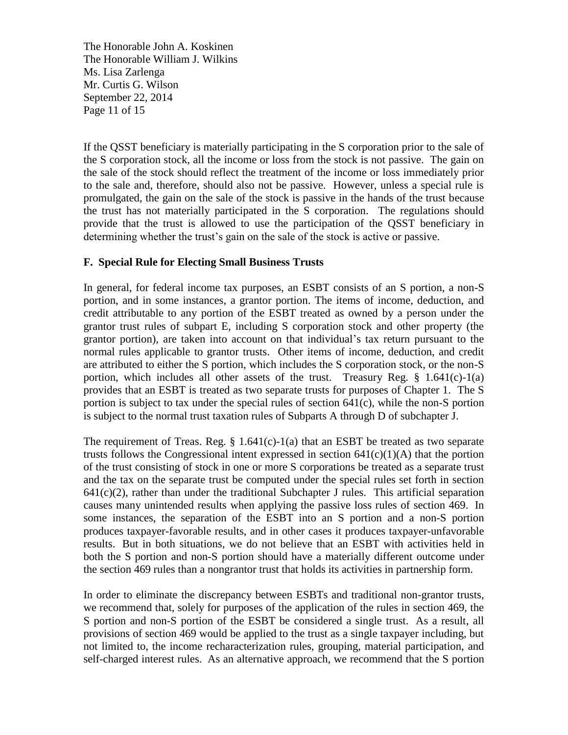The Honorable John A. Koskinen The Honorable William J. Wilkins Ms. Lisa Zarlenga Mr. Curtis G. Wilson September 22, 2014 Page 11 of 15

If the QSST beneficiary is materially participating in the S corporation prior to the sale of the S corporation stock, all the income or loss from the stock is not passive. The gain on the sale of the stock should reflect the treatment of the income or loss immediately prior to the sale and, therefore, should also not be passive. However, unless a special rule is promulgated, the gain on the sale of the stock is passive in the hands of the trust because the trust has not materially participated in the S corporation. The regulations should provide that the trust is allowed to use the participation of the QSST beneficiary in determining whether the trust's gain on the sale of the stock is active or passive.

## **F. Special Rule for Electing Small Business Trusts**

In general, for federal income tax purposes, an ESBT consists of an S portion, a non-S portion, and in some instances, a grantor portion. The items of income, deduction, and credit attributable to any portion of the ESBT treated as owned by a person under the grantor trust rules of subpart E, including S corporation stock and other property (the grantor portion), are taken into account on that individual's tax return pursuant to the normal rules applicable to grantor trusts. Other items of income, deduction, and credit are attributed to either the S portion, which includes the S corporation stock, or the non-S portion, which includes all other assets of the trust. Treasury Reg.  $\S$  1.641(c)-1(a) provides that an ESBT is treated as two separate trusts for purposes of Chapter 1. The S portion is subject to tax under the special rules of section 641(c), while the non-S portion is subject to the normal trust taxation rules of Subparts A through D of subchapter J.

The requirement of Treas. Reg.  $\S$  1.641(c)-1(a) that an ESBT be treated as two separate trusts follows the Congressional intent expressed in section  $641(c)(1)(A)$  that the portion of the trust consisting of stock in one or more S corporations be treated as a separate trust and the tax on the separate trust be computed under the special rules set forth in section  $641(c)(2)$ , rather than under the traditional Subchapter J rules. This artificial separation causes many unintended results when applying the passive loss rules of section 469. In some instances, the separation of the ESBT into an S portion and a non-S portion produces taxpayer-favorable results, and in other cases it produces taxpayer-unfavorable results. But in both situations, we do not believe that an ESBT with activities held in both the S portion and non-S portion should have a materially different outcome under the section 469 rules than a nongrantor trust that holds its activities in partnership form.

In order to eliminate the discrepancy between ESBTs and traditional non-grantor trusts, we recommend that, solely for purposes of the application of the rules in section 469, the S portion and non-S portion of the ESBT be considered a single trust. As a result, all provisions of section 469 would be applied to the trust as a single taxpayer including, but not limited to, the income recharacterization rules, grouping, material participation, and self-charged interest rules. As an alternative approach, we recommend that the S portion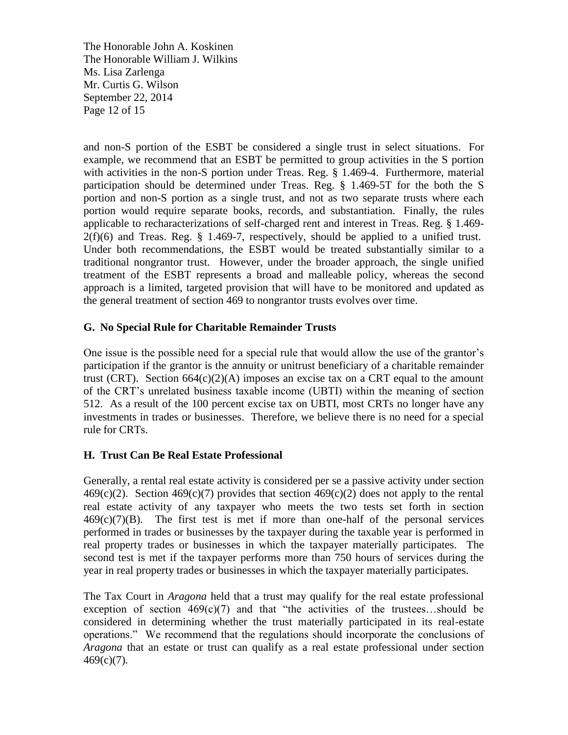The Honorable John A. Koskinen The Honorable William J. Wilkins Ms. Lisa Zarlenga Mr. Curtis G. Wilson September 22, 2014 Page 12 of 15

and non-S portion of the ESBT be considered a single trust in select situations. For example, we recommend that an ESBT be permitted to group activities in the S portion with activities in the non-S portion under Treas. Reg. § 1.469-4. Furthermore, material participation should be determined under Treas. Reg. § 1.469-5T for the both the S portion and non-S portion as a single trust, and not as two separate trusts where each portion would require separate books, records, and substantiation. Finally, the rules applicable to recharacterizations of self-charged rent and interest in Treas. Reg. § 1.469-  $2(f)(6)$  and Treas. Reg. § 1.469-7, respectively, should be applied to a unified trust. Under both recommendations, the ESBT would be treated substantially similar to a traditional nongrantor trust. However, under the broader approach, the single unified treatment of the ESBT represents a broad and malleable policy, whereas the second approach is a limited, targeted provision that will have to be monitored and updated as the general treatment of section 469 to nongrantor trusts evolves over time.

# **G. No Special Rule for Charitable Remainder Trusts**

One issue is the possible need for a special rule that would allow the use of the grantor's participation if the grantor is the annuity or unitrust beneficiary of a charitable remainder trust (CRT). Section  $664(c)(2)(A)$  imposes an excise tax on a CRT equal to the amount of the CRT's unrelated business taxable income (UBTI) within the meaning of section 512. As a result of the 100 percent excise tax on UBTI, most CRTs no longer have any investments in trades or businesses. Therefore, we believe there is no need for a special rule for CRTs.

## **H. Trust Can Be Real Estate Professional**

Generally, a rental real estate activity is considered per se a passive activity under section  $469(c)(2)$ . Section  $469(c)(7)$  provides that section  $469(c)(2)$  does not apply to the rental real estate activity of any taxpayer who meets the two tests set forth in section  $469(c)(7)(B)$ . The first test is met if more than one-half of the personal services performed in trades or businesses by the taxpayer during the taxable year is performed in real property trades or businesses in which the taxpayer materially participates. The second test is met if the taxpayer performs more than 750 hours of services during the year in real property trades or businesses in which the taxpayer materially participates.

The Tax Court in *Aragona* held that a trust may qualify for the real estate professional exception of section  $469(c)(7)$  and that "the activities of the trustees...should be considered in determining whether the trust materially participated in its real-estate operations." We recommend that the regulations should incorporate the conclusions of *Aragona* that an estate or trust can qualify as a real estate professional under section 469(c)(7)*.*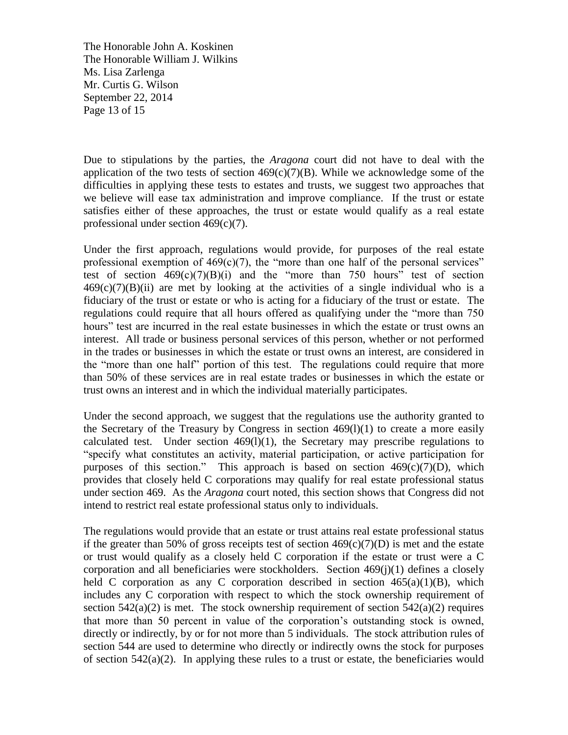The Honorable John A. Koskinen The Honorable William J. Wilkins Ms. Lisa Zarlenga Mr. Curtis G. Wilson September 22, 2014 Page 13 of 15

Due to stipulations by the parties, the *Aragona* court did not have to deal with the application of the two tests of section  $469(c)(7)(B)$ . While we acknowledge some of the difficulties in applying these tests to estates and trusts, we suggest two approaches that we believe will ease tax administration and improve compliance. If the trust or estate satisfies either of these approaches, the trust or estate would qualify as a real estate professional under section 469(c)(7).

Under the first approach, regulations would provide, for purposes of the real estate professional exemption of  $469(c)(7)$ , the "more than one half of the personal services" test of section  $469(c)(7)(B)(i)$  and the "more than 750 hours" test of section  $469(c)(7)(B)(ii)$  are met by looking at the activities of a single individual who is a fiduciary of the trust or estate or who is acting for a fiduciary of the trust or estate. The regulations could require that all hours offered as qualifying under the "more than 750 hours" test are incurred in the real estate businesses in which the estate or trust owns an interest. All trade or business personal services of this person, whether or not performed in the trades or businesses in which the estate or trust owns an interest, are considered in the "more than one half" portion of this test. The regulations could require that more than 50% of these services are in real estate trades or businesses in which the estate or trust owns an interest and in which the individual materially participates.

Under the second approach, we suggest that the regulations use the authority granted to the Secretary of the Treasury by Congress in section 469(l)(1) to create a more easily calculated test. Under section  $469(1)(1)$ , the Secretary may prescribe regulations to "specify what constitutes an activity, material participation, or active participation for purposes of this section." This approach is based on section  $469(c)(7)(D)$ , which provides that closely held C corporations may qualify for real estate professional status under section 469. As the *Aragona* court noted, this section shows that Congress did not intend to restrict real estate professional status only to individuals.

The regulations would provide that an estate or trust attains real estate professional status if the greater than 50% of gross receipts test of section  $469(c)(7)(D)$  is met and the estate or trust would qualify as a closely held C corporation if the estate or trust were a C corporation and all beneficiaries were stockholders. Section 469(j)(1) defines a closely held C corporation as any C corporation described in section  $465(a)(1)(B)$ , which includes any C corporation with respect to which the stock ownership requirement of section  $542(a)(2)$  is met. The stock ownership requirement of section  $542(a)(2)$  requires that more than 50 percent in value of the corporation's outstanding stock is owned, directly or indirectly, by or for not more than 5 individuals. The stock attribution rules of section 544 are used to determine who directly or indirectly owns the stock for purposes of section  $542(a)(2)$ . In applying these rules to a trust or estate, the beneficiaries would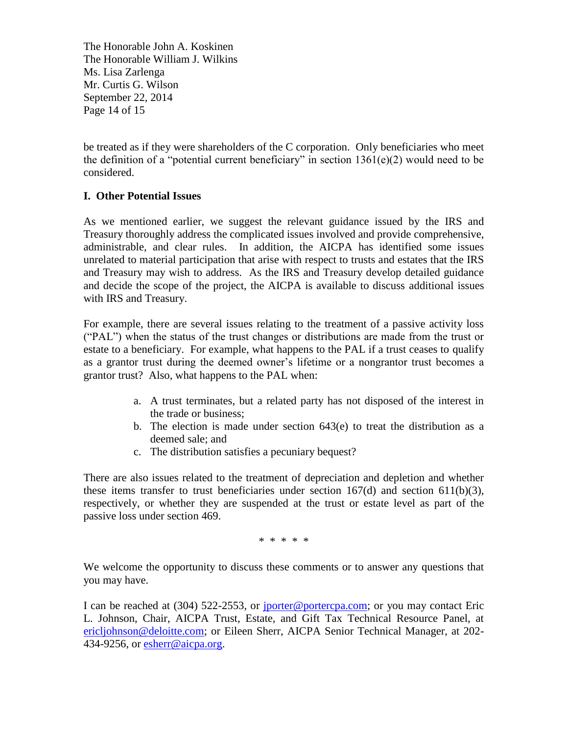The Honorable John A. Koskinen The Honorable William J. Wilkins Ms. Lisa Zarlenga Mr. Curtis G. Wilson September 22, 2014 Page 14 of 15

be treated as if they were shareholders of the C corporation. Only beneficiaries who meet the definition of a "potential current beneficiary" in section  $1361(e)(2)$  would need to be considered.

# **I. Other Potential Issues**

As we mentioned earlier, we suggest the relevant guidance issued by the IRS and Treasury thoroughly address the complicated issues involved and provide comprehensive, administrable, and clear rules. In addition, the AICPA has identified some issues unrelated to material participation that arise with respect to trusts and estates that the IRS and Treasury may wish to address. As the IRS and Treasury develop detailed guidance and decide the scope of the project, the AICPA is available to discuss additional issues with IRS and Treasury.

For example, there are several issues relating to the treatment of a passive activity loss ("PAL") when the status of the trust changes or distributions are made from the trust or estate to a beneficiary. For example, what happens to the PAL if a trust ceases to qualify as a grantor trust during the deemed owner's lifetime or a nongrantor trust becomes a grantor trust? Also, what happens to the PAL when:

- a. A trust terminates, but a related party has not disposed of the interest in the trade or business;
- b. The election is made under section  $643(e)$  to treat the distribution as a deemed sale; and
- c. The distribution satisfies a pecuniary bequest?

There are also issues related to the treatment of depreciation and depletion and whether these items transfer to trust beneficiaries under section  $167(d)$  and section  $611(b)(3)$ , respectively, or whether they are suspended at the trust or estate level as part of the passive loss under section 469.

\* \* \* \* \*

We welcome the opportunity to discuss these comments or to answer any questions that you may have.

I can be reached at (304) 522-2553, or [jporter@portercpa.com;](mailto:jporter@portercpa.com) or you may contact Eric L. Johnson, Chair, AICPA Trust, Estate, and Gift Tax Technical Resource Panel, at [ericljohnson@deloitte.com;](mailto:ericljohnson@deloitte.com) or Eileen Sherr, AICPA Senior Technical Manager, at 202- 434-9256, or [esherr@aicpa.org.](mailto:esherr@aicpa.org)